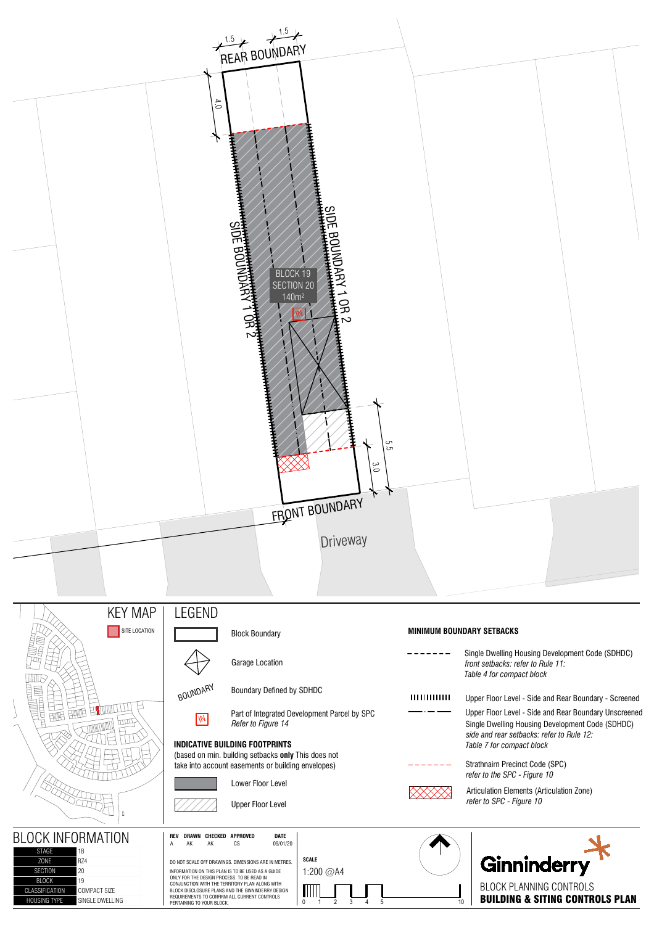